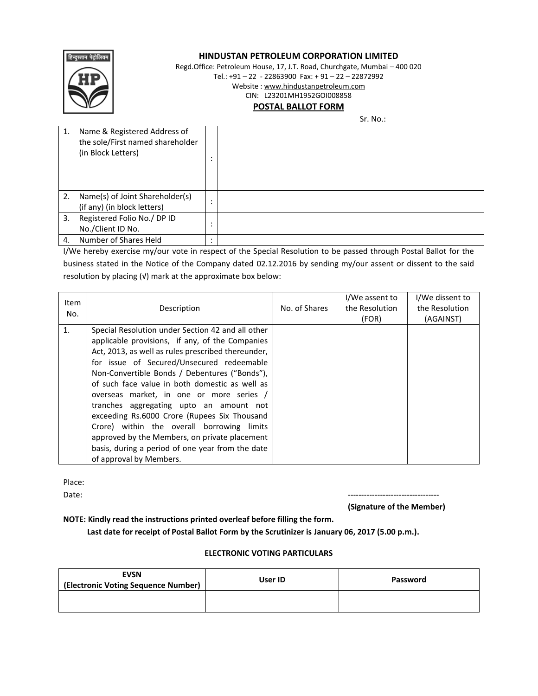

# **HINDUSTAN PETROLEUM CORPORATION LIMITED**

Regd.Office: Petroleum House, 17, J.T. Road, Churchgate, Mumbai – 400 020

Tel.: +91 – 22 - 22863900 Fax: + 91 – 22 – 22872992

Website : www.hindustanpetroleum.com

CIN: L23201MH1952GOI008858

# **POSTAL BALLOT FORM**

Sr. No.:

| 1. | Name & Registered Address of<br>the sole/First named shareholder<br>(in Block Letters) |                        |  |
|----|----------------------------------------------------------------------------------------|------------------------|--|
| 2. | Name(s) of Joint Shareholder(s)<br>(if any) (in block letters)                         | $\bullet$<br>$\bullet$ |  |
| 3. | Registered Folio No./ DP ID<br>No./Client ID No.                                       | ٠<br>$\bullet$         |  |
| 4. | Number of Shares Held                                                                  | $\bullet$              |  |

I/We hereby exercise my/our vote in respect of the Special Resolution to be passed through Postal Ballot for the business stated in the Notice of the Company dated 02.12.2016 by sending my/our assent or dissent to the said resolution by placing (√) mark at the approximate box below:

| <b>Item</b><br>No. | Description                                                                                                                                                                                                                                                                                                                                                                                                                                                                                                                                                                                                                     | No. of Shares | I/We assent to<br>the Resolution<br>(FOR) | I/We dissent to<br>the Resolution<br>(AGAINST) |
|--------------------|---------------------------------------------------------------------------------------------------------------------------------------------------------------------------------------------------------------------------------------------------------------------------------------------------------------------------------------------------------------------------------------------------------------------------------------------------------------------------------------------------------------------------------------------------------------------------------------------------------------------------------|---------------|-------------------------------------------|------------------------------------------------|
| 1.                 | Special Resolution under Section 42 and all other<br>applicable provisions, if any, of the Companies<br>Act, 2013, as well as rules prescribed thereunder,<br>for issue of Secured/Unsecured redeemable<br>Non-Convertible Bonds / Debentures ("Bonds"),<br>of such face value in both domestic as well as<br>overseas market, in one or more series /<br>tranches aggregating upto an amount not<br>exceeding Rs.6000 Crore (Rupees Six Thousand<br>Crore) within the overall borrowing limits<br>approved by the Members, on private placement<br>basis, during a period of one year from the date<br>of approval by Members. |               |                                           |                                                |

Place:

Date: ----------------------------------

**(Signature of the Member)**

**NOTE: Kindly read the instructions printed overleaf before filling the form.** 

 **Last date for receipt of Postal Ballot Form by the Scrutinizer is January 06, 2017 (5.00 p.m.).**

# **ELECTRONIC VOTING PARTICULARS**

| <b>EVSN</b><br>(Electronic Voting Sequence Number) | User ID | Password |
|----------------------------------------------------|---------|----------|
|                                                    |         |          |